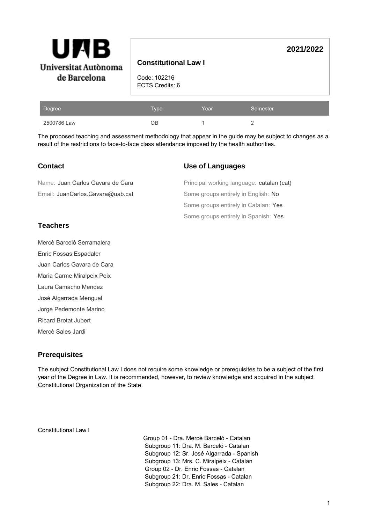

# **Constitutional Law I**

Code: 102216 ECTS Credits: 6

| Degree      | Type | Year | Semester |
|-------------|------|------|----------|
| 2500786 Law | OΒ   |      |          |

The proposed teaching and assessment methodology that appear in the guide may be subject to changes as a result of the restrictions to face-to-face class attendance imposed by the health authorities.

# **Contact**

### **Use of Languages**

| Name: Juan Carlos Gavara de Cara | Principal working language: catalan (cat) |
|----------------------------------|-------------------------------------------|
| Email: JuanCarlos.Gavara@uab.cat | Some groups entirely in English: No       |
|                                  | Some groups entirely in Catalan: Yes      |
|                                  | Some groups entirely in Spanish: Yes      |

# **Teachers**

Mercè Barceló Serramalera

Enric Fossas Espadaler

Juan Carlos Gavara de Cara

Maria Carme Miralpeix Peix

Laura Camacho Mendez

José Algarrada Mengual

Jorge Pedemonte Marino

Ricard Brotat Jubert

Mercè Sales Jardi

# **Prerequisites**

The subject Constitutional Law I does not require some knowledge or prerequisites to be a subject of the first year of the Degree in Law. It is recommended, however, to review knowledge and acquired in the subject Constitutional Organization of the State.

Constitutional Law I

 Group 01 - Dra. Mercè Barceló - Catalan Subgroup 11: Dra. M. Barceló - Catalan Subgroup 12: Sr. José Algarrada - Spanish Subgroup 13: Mrs. C. Miralpeix - Catalan Group 02 - Dr. Enric Fossas - Catalan Subgroup 21: Dr. Enric Fossas - Catalan Subgroup 22: Dra. M. Sales - Catalan

**2021/2022**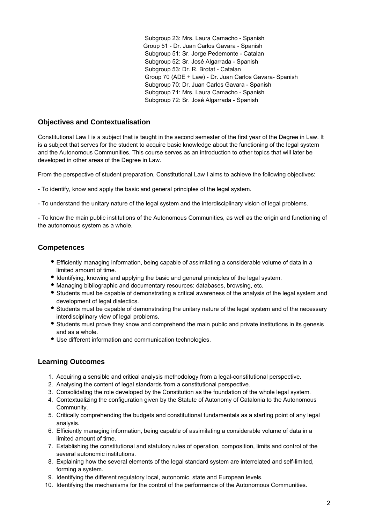Subgroup 23: Mrs. Laura Camacho - Spanish Group 51 - Dr. Juan Carlos Gavara - Spanish Subgroup 51: Sr. Jorge Pedemonte - Catalan Subgroup 52: Sr. José Algarrada - Spanish Subgroup 53: Dr. R. Brotat - Catalan Group 70 (ADE + Law) - Dr. Juan Carlos Gavara- Spanish Subgroup 70: Dr. Juan Carlos Gavara - Spanish Subgroup 71: Mrs. Laura Camacho - Spanish Subgroup 72: Sr. José Algarrada - Spanish

# **Objectives and Contextualisation**

Constitutional Law I is a subject that is taught in the second semester of the first year of the Degree in Law. It is a subject that serves for the student to acquire basic knowledge about the functioning of the legal system and the Autonomous Communities. This course serves as an introduction to other topics that will later be developed in other areas of the Degree in Law.

From the perspective of student preparation, Constitutional Law I aims to achieve the following objectives:

- To identify, know and apply the basic and general principles of the legal system.

- To understand the unitary nature of the legal system and the interdisciplinary vision of legal problems.

- To know the main public institutions of the Autonomous Communities, as well as the origin and functioning of the autonomous system as a whole.

### **Competences**

- Efficiently managing information, being capable of assimilating a considerable volume of data in a limited amount of time.
- Identifying, knowing and applying the basic and general principles of the legal system.
- Managing bibliographic and documentary resources: databases, browsing, etc.
- Students must be capable of demonstrating a critical awareness of the analysis of the legal system and development of legal dialectics.
- Students must be capable of demonstrating the unitary nature of the legal system and of the necessary interdisciplinary view of legal problems.
- Students must prove they know and comprehend the main public and private institutions in its genesis and as a whole.
- Use different information and communication technologies.

# **Learning Outcomes**

- 1. Acquiring a sensible and critical analysis methodology from a legal-constitutional perspective.
- 2. Analysing the content of legal standards from a constitutional perspective.
- 3. Consolidating the role developed by the Constitution as the foundation of the whole legal system.
- 4. Contextualizing the configuration given by the Statute of Autonomy of Catalonia to the Autonomous Community.
- 5. Critically comprehending the budgets and constitutional fundamentals as a starting point of any legal analysis.
- 6. Efficiently managing information, being capable of assimilating a considerable volume of data in a limited amount of time.
- 7. Establishing the constitutional and statutory rules of operation, composition, limits and control of the several autonomic institutions.
- 8. Explaining how the several elements of the legal standard system are interrelated and self-limited, forming a system.
- 9. Identifying the different regulatory local, autonomic, state and European levels.
- 10. Identifying the mechanisms for the control of the performance of the Autonomous Communities.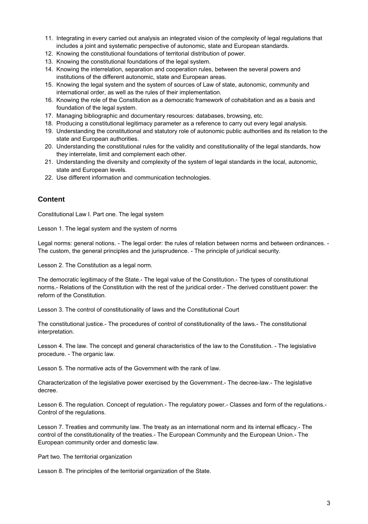- 11. Integrating in every carried out analysis an integrated vision of the complexity of legal regulations that includes a joint and systematic perspective of autonomic, state and European standards.
- 12. Knowing the constitutional foundations of territorial distribution of power.
- 13. Knowing the constitutional foundations of the legal system.
- 14. Knowing the interrelation, separation and cooperation rules, between the several powers and institutions of the different autonomic, state and European areas.
- 15. Knowing the legal system and the system of sources of Law of state, autonomic, community and international order, as well as the rules of their implementation.
- 16. Knowing the role of the Constitution as a democratic framework of cohabitation and as a basis and foundation of the legal system.
- 17. Managing bibliographic and documentary resources: databases, browsing, etc.
- 18. Producing a constitutional legitimacy parameter as a reference to carry out every legal analysis.
- 19. Understanding the constitutional and statutory role of autonomic public authorities and its relation to the state and European authorities.
- 20. Understanding the constitutional rules for the validity and constitutionality of the legal standards, how they interrelate, limit and complement each other.
- 21. Understanding the diversity and complexity of the system of legal standards in the local, autonomic, state and European levels.
- 22. Use different information and communication technologies.

#### **Content**

Constitutional Law I. Part one. The legal system

Lesson 1. The legal system and the system of norms

Legal norms: general notions. - The legal order: the rules of relation between norms and between ordinances. - The custom, the general principles and the jurisprudence. - The principle of juridical security.

Lesson 2. The Constitution as a legal norm.

The democratic legitimacy of the State.- The legal value of the Constitution.- The types of constitutional norms.- Relations of the Constitution with the rest of the juridical order.- The derived constituent power: the reform of the Constitution.

Lesson 3. The control of constitutionality of laws and the Constitutional Court

The constitutional justice.- The procedures of control of constitutionality of the laws.- The constitutional interpretation.

Lesson 4. The law. The concept and general characteristics of the law to the Constitution. - The legislative procedure. - The organic law.

Lesson 5. The normative acts of the Government with the rank of law.

Characterization of the legislative power exercised by the Government.- The decree-law.- The legislative decree.

Lesson 6. The regulation. Concept of regulation.- The regulatory power.- Classes and form of the regulations.- Control of the regulations.

Lesson 7. Treaties and community law. The treaty as an international norm and its internal efficacy.- The control of the constitutionality of the treaties.- The European Community and the European Union.- The European community order and domestic law.

Part two. The territorial organization

Lesson 8. The principles of the territorial organization of the State.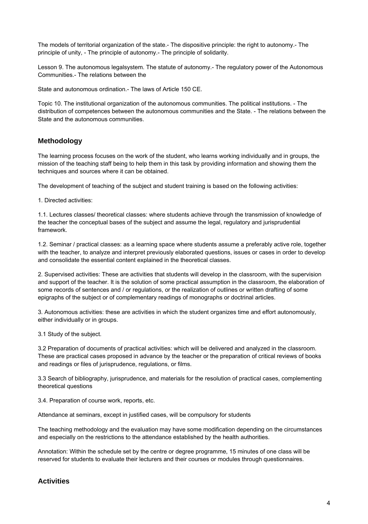The models of territorial organization of the state.- The dispositive principle: the right to autonomy.- The principle of unity, - The principle of autonomy.- The principle of solidarity.

Lesson 9. The autonomous legalsystem. The statute of autonomy.- The regulatory power of the Autonomous Communities.- The relations between the

State and autonomous ordination.- The laws of Article 150 CE.

Topic 10. The institutional organization of the autonomous communities. The political institutions. - The distribution of competences between the autonomous communities and the State. - The relations between the State and the autonomous communities.

# **Methodology**

The learning process focuses on the work of the student, who learns working individually and in groups, the mission of the teaching staff being to help them in this task by providing information and showing them the techniques and sources where it can be obtained.

The development of teaching of the subject and student training is based on the following activities:

1. Directed activities:

1.1. Lectures classes/ theoretical classes: where students achieve through the transmission of knowledge of the teacher the conceptual bases of the subject and assume the legal, regulatory and jurisprudential framework.

1.2. Seminar / practical classes: as a learning space where students assume a preferably active role, together with the teacher, to analyze and interpret previously elaborated questions, issues or cases in order to develop and consolidate the essential content explained in the theoretical classes.

2. Supervised activities: These are activities that students will develop in the classroom, with the supervision and support of the teacher. It is the solution of some practical assumption in the classroom, the elaboration of some records of sentences and / or regulations, or the realization of outlines or written drafting of some epigraphs of the subject or of complementary readings of monographs or doctrinal articles.

3. Autonomous activities: these are activities in which the student organizes time and effort autonomously, either individually or in groups.

3.1 Study of the subject.

3.2 Preparation of documents of practical activities: which will be delivered and analyzed in the classroom. These are practical cases proposed in advance by the teacher or the preparation of critical reviews of books and readings or files of jurisprudence, regulations, or films.

3.3 Search of bibliography, jurisprudence, and materials for the resolution of practical cases, complementing theoretical questions

3.4. Preparation of course work, reports, etc.

Attendance at seminars, except in justified cases, will be compulsory for students

The teaching methodology and the evaluation may have some modification depending on the circumstances and especially on the restrictions to the attendance established by the health authorities.

Annotation: Within the schedule set by the centre or degree programme, 15 minutes of one class will be reserved for students to evaluate their lecturers and their courses or modules through questionnaires.

### **Activities**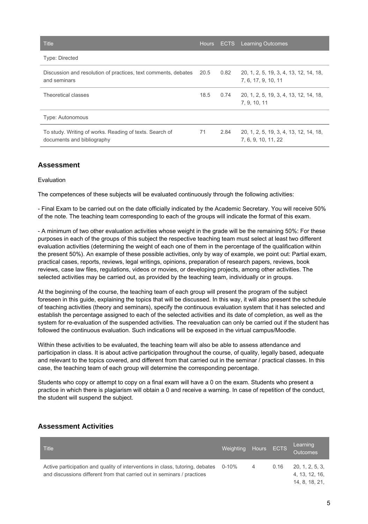| <b>Title</b>                                                                          |      |      | Hours ECTS Learning Outcomes                                  |
|---------------------------------------------------------------------------------------|------|------|---------------------------------------------------------------|
| Type: Directed                                                                        |      |      |                                                               |
| Discussion and resolution of practices, text comments, debates<br>and seminars        | 20.5 | 0.82 | 20, 1, 2, 5, 19, 3, 4, 13, 12, 14, 18,<br>7, 6, 17, 9, 10, 11 |
| Theoretical classes                                                                   | 18.5 | 0.74 | 20, 1, 2, 5, 19, 3, 4, 13, 12, 14, 18,<br>7, 9, 10, 11        |
| <b>Type: Autonomous</b>                                                               |      |      |                                                               |
| To study. Writing of works. Reading of texts. Search of<br>documents and bibliography | 71   | 2.84 | 20, 1, 2, 5, 19, 3, 4, 13, 12, 14, 18,<br>7, 6, 9, 10, 11, 22 |

# **Assessment**

#### Evaluation

The competences of these subjects will be evaluated continuously through the following activities:

- Final Exam to be carried out on the date officially indicated by the Academic Secretary. You will receive 50% of the note. The teaching team corresponding to each of the groups will indicate the format of this exam.

- A minimum of two other evaluation activities whose weight in the grade will be the remaining 50%: For these purposes in each of the groups of this subject the respective teaching team must select at least two different evaluation activities (determining the weight of each one of them in the percentage of the qualification within the present 50%). An example of these possible activities, only by way of example, we point out: Partial exam, practical cases, reports, reviews, legal writings, opinions, preparation of research papers, reviews, book reviews, case law files, regulations, videos or movies, or developing projects, among other activities. The selected activities may be carried out, as provided by the teaching team, individually or in groups.

At the beginning of the course, the teaching team of each group will present the program of the subject foreseen in this guide, explaining the topics that will be discussed. In this way, it will also present the schedule of teaching activities (theory and seminars), specify the continuous evaluation system that it has selected and establish the percentage assigned to each of the selected activities and its date of completion, as well as the system for re-evaluation of the suspended activities. The reevaluation can only be carried out if the student has followed the continuous evaluation. Such indications will be exposed in the virtual campus/Moodle.

Within these activities to be evaluated, the teaching team will also be able to assess attendance and participation in class. It is about active participation throughout the course, of quality, legally based, adequate and relevant to the topics covered, and different from that carried out in the seminar / practical classes. In this case, the teaching team of each group will determine the corresponding percentage.

Students who copy or attempt to copy on a final exam will have a 0 on the exam. Students who present a practice in which there is plagiarism will obtain a 0 and receive a warning. In case of repetition of the conduct, the student will suspend the subject.

| <b>Title</b>                                                                                                                                                   | Weighting Hours ECTS |   |      | Learning<br>Outcomes                                |
|----------------------------------------------------------------------------------------------------------------------------------------------------------------|----------------------|---|------|-----------------------------------------------------|
| Active participation and quality of interventions in class, tutoring, debates 0-10%<br>and discussions different from that carried out in seminars / practices |                      | 4 | 0.16 | 20, 1, 2, 5, 3,<br>4, 13, 12, 16,<br>14, 8, 18, 21, |

# **Assessment Activities**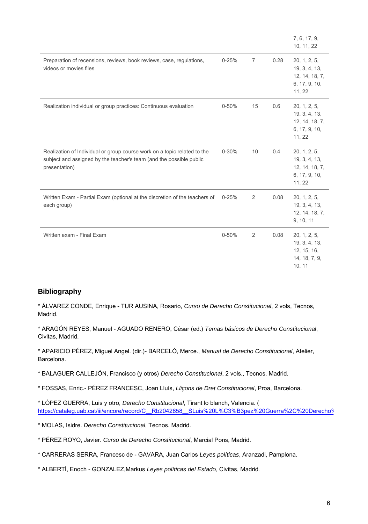|                                                                                                                                                                  |           |                |      | 7, 6, 17, 9,<br>10, 11, 22                                                 |
|------------------------------------------------------------------------------------------------------------------------------------------------------------------|-----------|----------------|------|----------------------------------------------------------------------------|
| Preparation of recensions, reviews, book reviews, case, regulations,<br>videos or movies files                                                                   | $0 - 25%$ | $\overline{7}$ | 0.28 | 20, 1, 2, 5,<br>19, 3, 4, 13,<br>12, 14, 18, 7,<br>6, 17, 9, 10,<br>11, 22 |
| Realization individual or group practices: Continuous evaluation                                                                                                 | $0 - 50%$ | 15             | 0.6  | 20, 1, 2, 5,<br>19, 3, 4, 13,<br>12, 14, 18, 7,<br>6, 17, 9, 10,<br>11, 22 |
| Realization of Individual or group course work on a topic related to the<br>subject and assigned by the teacher's team (and the possible public<br>presentation) | $0 - 30%$ | 10             | 0.4  | 20, 1, 2, 5,<br>19, 3, 4, 13,<br>12, 14, 18, 7,<br>6, 17, 9, 10,<br>11, 22 |
| Written Exam - Partial Exam (optional at the discretion of the teachers of<br>each group)                                                                        | $0 - 25%$ | 2              | 0.08 | 20, 1, 2, 5,<br>19, 3, 4, 13,<br>12, 14, 18, 7,<br>9, 10, 11               |
| Written exam - Final Exam                                                                                                                                        | $0 - 50%$ | 2              | 0.08 | 20, 1, 2, 5,<br>19, 3, 4, 13,<br>12, 15, 16,<br>14, 18, 7, 9,<br>10, 11    |

# **Bibliography**

\* ÁLVAREZ CONDE, Enrique - TUR AUSINA, Rosario, Curso de Derecho Constitucional, 2 vols, Tecnos, Madrid.

\* ARAGÓN REYES, Manuel - AGUADO RENERO, César (ed.) Temas básicos de Derecho Constitucional, Civitas, Madrid.

\* APARICIO PÉREZ, Miguel Angel. (dir.)- BARCELÓ, Merce., Manual de Derecho Constitucional, Atelier, Barcelona.

\* BALAGUER CALLEJÓN, Francisco (y otros) Derecho Constitucional, 2 vols., Tecnos. Madrid.

\* FOSSAS, Enric.- PÉREZ FRANCESC, Joan Lluís, Lliçons de Dret Constitucional, Proa, Barcelona.

\* LÓPEZ GUERRA, Luis y otro, Derecho Constitucional, Tirant lo blanch, Valencia. ( https://cataleg.uab.cat/iii/encore/record/C\_\_Rb2042858\_\_SLuis%20L%C3%B3pez%20Guerra%2C%20Derecho%

\* MOLAS, Isidre. Derecho Constitucional, Tecnos. Madrid.

\* PÉREZ ROYO, Javier. Curso de Derecho Constitucional, Marcial Pons, Madrid.

\* CARRERAS SERRA, Francesc de - GAVARA, Juan Carlos Leyes políticas, Aranzadi, Pamplona.

\* ALBERTÍ, Enoch - GONZALEZ,Markus Leyes políticas del Estado, Civitas, Madrid.